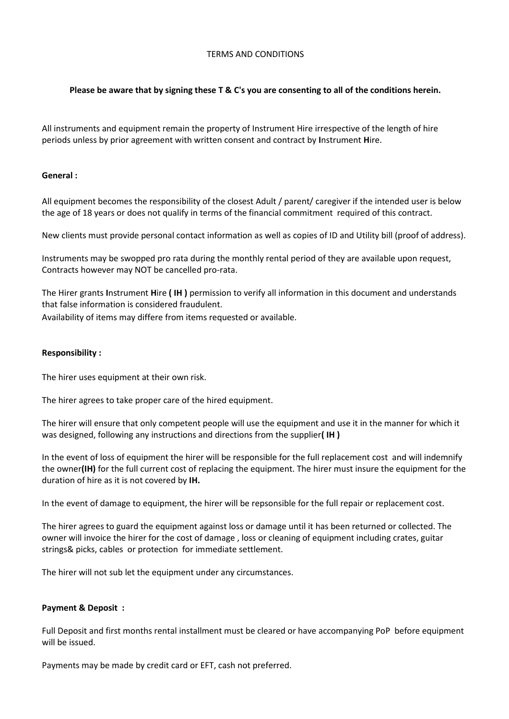## TERMS AND CONDITIONS

# **Please be aware that by signing these T & C's you are consenting to all of the conditions herein.**

All instruments and equipment remain the property of Instrument Hire irrespective of the length of hire periods unless by prior agreement with written consent and contract by **I**nstrument **H**ire.

### **General :**

All equipment becomes the responsibility of the closest Adult / parent/ caregiver if the intended user is below the age of 18 years or does not qualify in terms of the financial commitment required of this contract.

New clients must provide personal contact information as well as copies of ID and Utility bill (proof of address).

Instruments may be swopped pro rata during the monthly rental period of they are available upon request, Contracts however may NOT be cancelled pro-rata.

The Hirer grants **I**nstrument **H**ire **( IH )** permission to verify all information in this document and understands that false information is considered fraudulent. Availability of items may differe from items requested or available.

### **Responsibility :**

The hirer uses equipment at their own risk.

The hirer agrees to take proper care of the hired equipment.

The hirer will ensure that only competent people will use the equipment and use it in the manner for which it was designed, following any instructions and directions from the supplier**( IH )**

In the event of loss of equipment the hirer will be responsible for the full replacement cost and will indemnify the owner**(IH)** for the full current cost of replacing the equipment. The hirer must insure the equipment for the duration of hire as it is not covered by **IH.**

In the event of damage to equipment, the hirer will be repsonsible for the full repair or replacement cost.

The hirer agrees to guard the equipment against loss or damage until it has been returned or collected. The owner will invoice the hirer for the cost of damage , loss or cleaning of equipment including crates, guitar strings& picks, cables or protection for immediate settlement.

The hirer will not sub let the equipment under any circumstances.

### **Payment & Deposit :**

Full Deposit and first months rental installment must be cleared or have accompanying PoP before equipment will be issued.

Payments may be made by credit card or EFT, cash not preferred.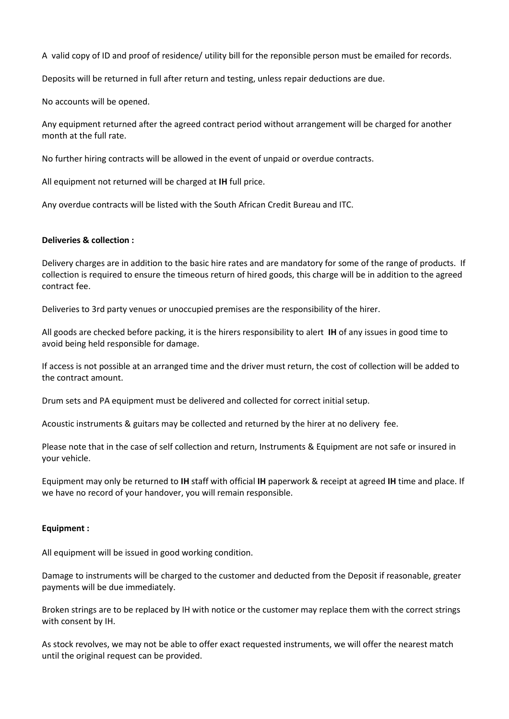A valid copy of ID and proof of residence/ utility bill for the reponsible person must be emailed for records.

Deposits will be returned in full after return and testing, unless repair deductions are due.

No accounts will be opened.

Any equipment returned after the agreed contract period without arrangement will be charged for another month at the full rate.

No further hiring contracts will be allowed in the event of unpaid or overdue contracts.

All equipment not returned will be charged at **IH** full price.

Any overdue contracts will be listed with the South African Credit Bureau and ITC.

# **Deliveries & collection :**

Delivery charges are in addition to the basic hire rates and are mandatory for some of the range of products. If collection is required to ensure the timeous return of hired goods, this charge will be in addition to the agreed contract fee.

Deliveries to 3rd party venues or unoccupied premises are the responsibility of the hirer.

All goods are checked before packing, it is the hirers responsibility to alert **IH** of any issues in good time to avoid being held responsible for damage.

If access is not possible at an arranged time and the driver must return, the cost of collection will be added to the contract amount.

Drum sets and PA equipment must be delivered and collected for correct initial setup.

Acoustic instruments & guitars may be collected and returned by the hirer at no delivery fee.

Please note that in the case of self collection and return, Instruments & Equipment are not safe or insured in your vehicle.

Equipment may only be returned to **IH** staff with official **IH** paperwork & receipt at agreed **IH** time and place. If we have no record of your handover, you will remain responsible.

### **Equipment :**

All equipment will be issued in good working condition.

Damage to instruments will be charged to the customer and deducted from the Deposit if reasonable, greater payments will be due immediately.

Broken strings are to be replaced by IH with notice or the customer may replace them with the correct strings with consent by IH.

As stock revolves, we may not be able to offer exact requested instruments, we will offer the nearest match until the original request can be provided.